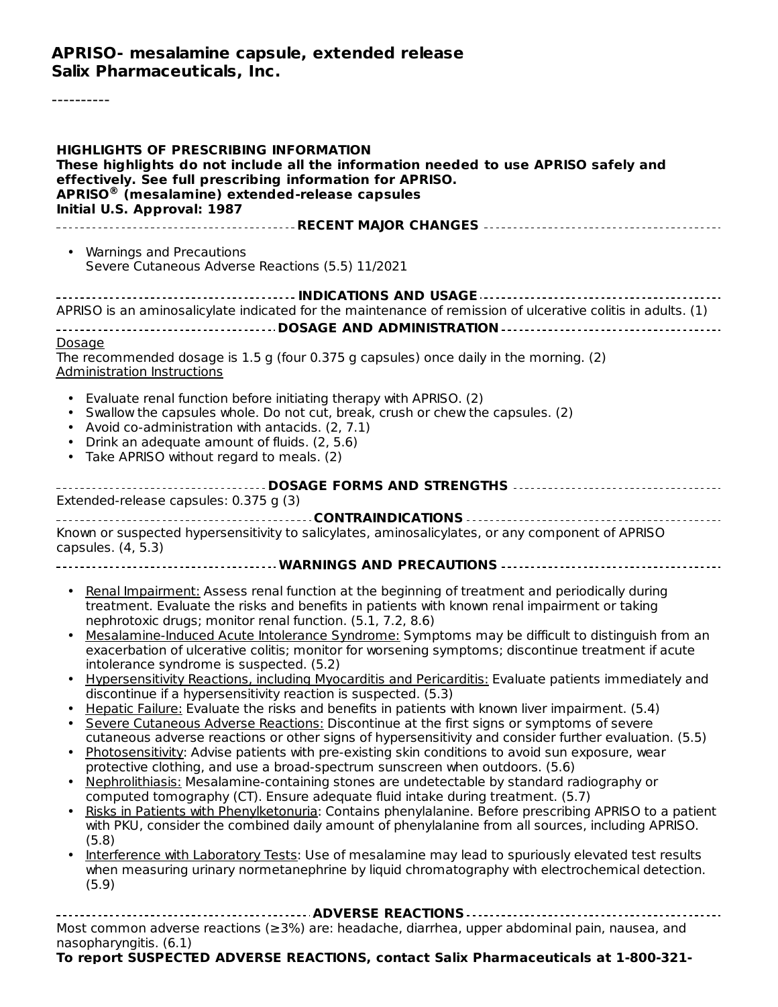#### **APRISO- mesalamine capsule, extended release Salix Pharmaceuticals, Inc.**

----------

| <b>HIGHLIGHTS OF PRESCRIBING INFORMATION</b><br>These highlights do not include all the information needed to use APRISO safely and<br>effectively. See full prescribing information for APRISO.<br>APRISO <sup>®</sup> (mesalamine) extended-release capsules<br>Initial U.S. Approval: 1987                                                                                                                                                                                                                                                                                                                                                                                                                                                                                                                                                                                                                                                                                                                                                                                                                                                                                                                                                                                                                                                                                                                                                                                                                                                                                                                                                                                                                                                                                                                                |  |  |  |  |  |
|------------------------------------------------------------------------------------------------------------------------------------------------------------------------------------------------------------------------------------------------------------------------------------------------------------------------------------------------------------------------------------------------------------------------------------------------------------------------------------------------------------------------------------------------------------------------------------------------------------------------------------------------------------------------------------------------------------------------------------------------------------------------------------------------------------------------------------------------------------------------------------------------------------------------------------------------------------------------------------------------------------------------------------------------------------------------------------------------------------------------------------------------------------------------------------------------------------------------------------------------------------------------------------------------------------------------------------------------------------------------------------------------------------------------------------------------------------------------------------------------------------------------------------------------------------------------------------------------------------------------------------------------------------------------------------------------------------------------------------------------------------------------------------------------------------------------------|--|--|--|--|--|
|                                                                                                                                                                                                                                                                                                                                                                                                                                                                                                                                                                                                                                                                                                                                                                                                                                                                                                                                                                                                                                                                                                                                                                                                                                                                                                                                                                                                                                                                                                                                                                                                                                                                                                                                                                                                                              |  |  |  |  |  |
| • Warnings and Precautions<br>Severe Cutaneous Adverse Reactions (5.5) 11/2021                                                                                                                                                                                                                                                                                                                                                                                                                                                                                                                                                                                                                                                                                                                                                                                                                                                                                                                                                                                                                                                                                                                                                                                                                                                                                                                                                                                                                                                                                                                                                                                                                                                                                                                                               |  |  |  |  |  |
|                                                                                                                                                                                                                                                                                                                                                                                                                                                                                                                                                                                                                                                                                                                                                                                                                                                                                                                                                                                                                                                                                                                                                                                                                                                                                                                                                                                                                                                                                                                                                                                                                                                                                                                                                                                                                              |  |  |  |  |  |
| APRISO is an aminosalicylate indicated for the maintenance of remission of ulcerative colitis in adults. (1)                                                                                                                                                                                                                                                                                                                                                                                                                                                                                                                                                                                                                                                                                                                                                                                                                                                                                                                                                                                                                                                                                                                                                                                                                                                                                                                                                                                                                                                                                                                                                                                                                                                                                                                 |  |  |  |  |  |
|                                                                                                                                                                                                                                                                                                                                                                                                                                                                                                                                                                                                                                                                                                                                                                                                                                                                                                                                                                                                                                                                                                                                                                                                                                                                                                                                                                                                                                                                                                                                                                                                                                                                                                                                                                                                                              |  |  |  |  |  |
| Dosage<br>The recommended dosage is 1.5 g (four 0.375 g capsules) once daily in the morning. (2)<br><b>Administration Instructions</b>                                                                                                                                                                                                                                                                                                                                                                                                                                                                                                                                                                                                                                                                                                                                                                                                                                                                                                                                                                                                                                                                                                                                                                                                                                                                                                                                                                                                                                                                                                                                                                                                                                                                                       |  |  |  |  |  |
| Evaluate renal function before initiating therapy with APRISO. (2)<br>Swallow the capsules whole. Do not cut, break, crush or chew the capsules. (2)<br>Avoid co-administration with antacids. (2, 7.1)<br>Drink an adequate amount of fluids. (2, 5.6)<br>Take APRISO without regard to meals. (2)<br>$\bullet$                                                                                                                                                                                                                                                                                                                                                                                                                                                                                                                                                                                                                                                                                                                                                                                                                                                                                                                                                                                                                                                                                                                                                                                                                                                                                                                                                                                                                                                                                                             |  |  |  |  |  |
| DOSAGE FORMS AND STRENGTHS                                                                                                                                                                                                                                                                                                                                                                                                                                                                                                                                                                                                                                                                                                                                                                                                                                                                                                                                                                                                                                                                                                                                                                                                                                                                                                                                                                                                                                                                                                                                                                                                                                                                                                                                                                                                   |  |  |  |  |  |
| Extended-release capsules: 0.375 g (3)                                                                                                                                                                                                                                                                                                                                                                                                                                                                                                                                                                                                                                                                                                                                                                                                                                                                                                                                                                                                                                                                                                                                                                                                                                                                                                                                                                                                                                                                                                                                                                                                                                                                                                                                                                                       |  |  |  |  |  |
| Known or suspected hypersensitivity to salicylates, aminosalicylates, or any component of APRISO<br>capsules. (4, 5.3)<br>------------------------------------- WARNINGS AND PRECAUTIONS -----------------------------------                                                                                                                                                                                                                                                                                                                                                                                                                                                                                                                                                                                                                                                                                                                                                                                                                                                                                                                                                                                                                                                                                                                                                                                                                                                                                                                                                                                                                                                                                                                                                                                                 |  |  |  |  |  |
|                                                                                                                                                                                                                                                                                                                                                                                                                                                                                                                                                                                                                                                                                                                                                                                                                                                                                                                                                                                                                                                                                                                                                                                                                                                                                                                                                                                                                                                                                                                                                                                                                                                                                                                                                                                                                              |  |  |  |  |  |
| Renal Impairment: Assess renal function at the beginning of treatment and periodically during<br>$\bullet$<br>treatment. Evaluate the risks and benefits in patients with known renal impairment or taking<br>nephrotoxic drugs; monitor renal function. (5.1, 7.2, 8.6)<br>Mesalamine-Induced Acute Intolerance Syndrome: Symptoms may be difficult to distinguish from an<br>exacerbation of ulcerative colitis; monitor for worsening symptoms; discontinue treatment if acute<br>intolerance syndrome is suspected. (5.2)<br>Hypersensitivity Reactions, including Myocarditis and Pericarditis: Evaluate patients immediately and<br>discontinue if a hypersensitivity reaction is suspected. (5.3)<br>Hepatic Failure: Evaluate the risks and benefits in patients with known liver impairment. (5.4)<br>Severe Cutaneous Adverse Reactions: Discontinue at the first signs or symptoms of severe<br>cutaneous adverse reactions or other signs of hypersensitivity and consider further evaluation. (5.5)<br>Photosensitivity: Advise patients with pre-existing skin conditions to avoid sun exposure, wear<br>protective clothing, and use a broad-spectrum sunscreen when outdoors. (5.6)<br>Nephrolithiasis: Mesalamine-containing stones are undetectable by standard radiography or<br>computed tomography (CT). Ensure adequate fluid intake during treatment. (5.7)<br>Risks in Patients with Phenylketonuria: Contains phenylalanine. Before prescribing APRISO to a patient<br>with PKU, consider the combined daily amount of phenylalanine from all sources, including APRISO.<br>(5.8)<br>Interference with Laboratory Tests: Use of mesalamine may lead to spuriously elevated test results<br>when measuring urinary normetanephrine by liquid chromatography with electrochemical detection.<br>(5.9) |  |  |  |  |  |
| Most common adverse reactions (≥3%) are: headache, diarrhea, upper abdominal pain, nausea, and<br>nasopharyngitis. (6.1)<br>To report SUSPECTED ADVERSE REACTIONS, contact Salix Pharmaceuticals at 1-800-321-                                                                                                                                                                                                                                                                                                                                                                                                                                                                                                                                                                                                                                                                                                                                                                                                                                                                                                                                                                                                                                                                                                                                                                                                                                                                                                                                                                                                                                                                                                                                                                                                               |  |  |  |  |  |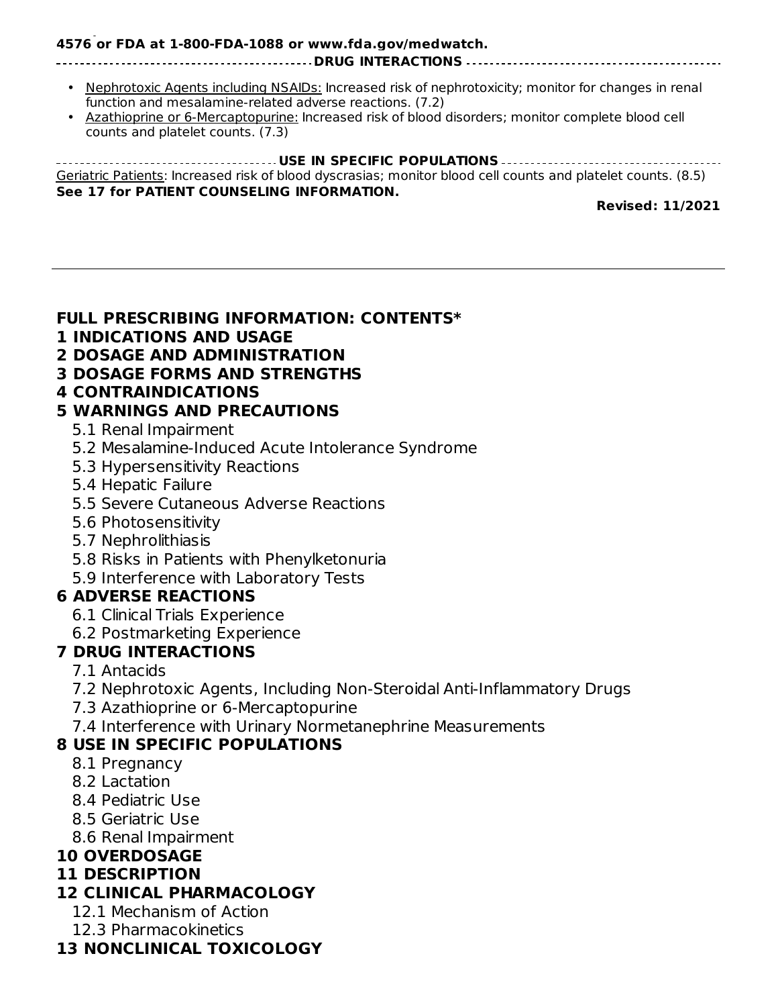#### **To report SUSPECTED ADVERSE REACTIONS, contact Salix Pharmaceuticals at 1-800-321- 4576 or FDA at 1-800-FDA-1088 or www.fda.gov/medwatch.**

#### **DRUG INTERACTIONS**

- Nephrotoxic Agents including NSAIDs: Increased risk of nephrotoxicity; monitor for changes in renal function and mesalamine-related adverse reactions. (7.2)
- Azathioprine or 6-Mercaptopurine: Increased risk of blood disorders; monitor complete blood cell counts and platelet counts. (7.3)

**USE IN SPECIFIC POPULATIONS** Geriatric Patients: Increased risk of blood dyscrasias; monitor blood cell counts and platelet counts. (8.5) **See 17 for PATIENT COUNSELING INFORMATION.**

**Revised: 11/2021**

#### **FULL PRESCRIBING INFORMATION: CONTENTS\***

- **1 INDICATIONS AND USAGE**
- **2 DOSAGE AND ADMINISTRATION**
- **3 DOSAGE FORMS AND STRENGTHS**
- **4 CONTRAINDICATIONS**

### **5 WARNINGS AND PRECAUTIONS**

- 5.1 Renal Impairment
- 5.2 Mesalamine-Induced Acute Intolerance Syndrome
- 5.3 Hypersensitivity Reactions
- 5.4 Hepatic Failure
- 5.5 Severe Cutaneous Adverse Reactions
- 5.6 Photosensitivity
- 5.7 Nephrolithiasis
- 5.8 Risks in Patients with Phenylketonuria
- 5.9 Interference with Laboratory Tests

### **6 ADVERSE REACTIONS**

- 6.1 Clinical Trials Experience
- 6.2 Postmarketing Experience

### **7 DRUG INTERACTIONS**

- 7.1 Antacids
- 7.2 Nephrotoxic Agents, Including Non-Steroidal Anti-Inflammatory Drugs
- 7.3 Azathioprine or 6-Mercaptopurine
- 7.4 Interference with Urinary Normetanephrine Measurements

### **8 USE IN SPECIFIC POPULATIONS**

- 8.1 Pregnancy
- 8.2 Lactation
- 8.4 Pediatric Use
- 8.5 Geriatric Use
- 8.6 Renal Impairment

### **10 OVERDOSAGE**

### **11 DESCRIPTION**

### **12 CLINICAL PHARMACOLOGY**

- 12.1 Mechanism of Action
- 12.3 Pharmacokinetics

### **13 NONCLINICAL TOXICOLOGY**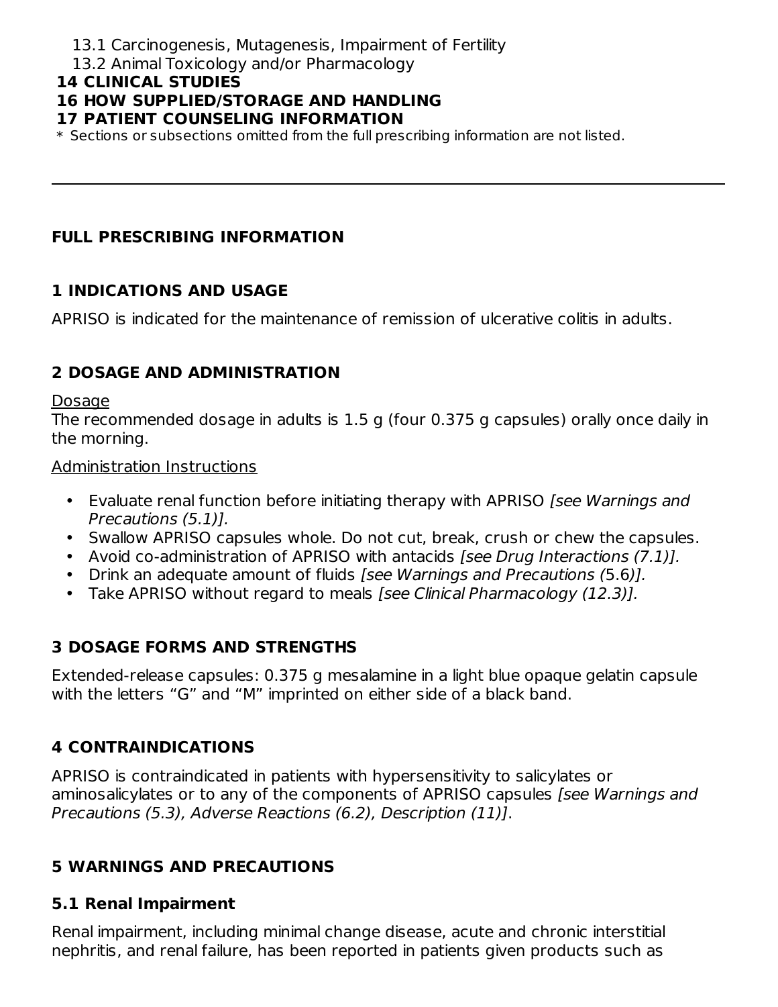- 13.1 Carcinogenesis, Mutagenesis, Impairment of Fertility
- 13.2 Animal Toxicology and/or Pharmacology

#### **14 CLINICAL STUDIES**

### **16 HOW SUPPLIED/STORAGE AND HANDLING**

#### **17 PATIENT COUNSELING INFORMATION**

\* Sections or subsections omitted from the full prescribing information are not listed.

### **FULL PRESCRIBING INFORMATION**

### **1 INDICATIONS AND USAGE**

APRISO is indicated for the maintenance of remission of ulcerative colitis in adults.

# **2 DOSAGE AND ADMINISTRATION**

#### Dosage

The recommended dosage in adults is 1.5 g (four 0.375 g capsules) orally once daily in the morning.

#### Administration Instructions

- Evaluate renal function before initiating therapy with APRISO [see Warnings and Precautions (5.1)].
- Swallow APRISO capsules whole. Do not cut, break, crush or chew the capsules.
- Avoid co-administration of APRISO with antacids [see Drug Interactions (7.1)].
- Drink an adequate amount of fluids [see Warnings and Precautions (5.6)].
- Take APRISO without regard to meals [see Clinical Pharmacology (12.3)].

# **3 DOSAGE FORMS AND STRENGTHS**

Extended-release capsules: 0.375 g mesalamine in a light blue opaque gelatin capsule with the letters "G" and "M" imprinted on either side of a black band.

# **4 CONTRAINDICATIONS**

APRISO is contraindicated in patients with hypersensitivity to salicylates or aminosalicylates or to any of the components of APRISO capsules (see Warnings and Precautions (5.3), Adverse Reactions (6.2), Description (11)].

### **5 WARNINGS AND PRECAUTIONS**

### **5.1 Renal Impairment**

Renal impairment, including minimal change disease, acute and chronic interstitial nephritis, and renal failure, has been reported in patients given products such as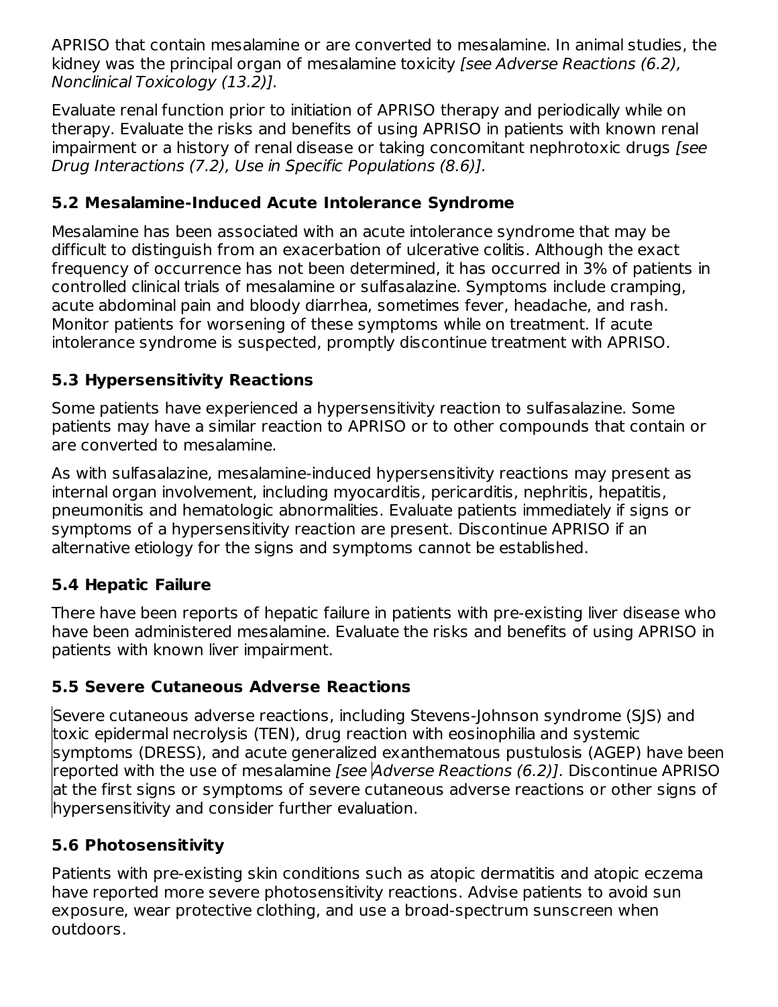APRISO that contain mesalamine or are converted to mesalamine. In animal studies, the kidney was the principal organ of mesalamine toxicity [see Adverse Reactions (6.2), Nonclinical Toxicology (13.2)].

Evaluate renal function prior to initiation of APRISO therapy and periodically while on therapy. Evaluate the risks and benefits of using APRISO in patients with known renal impairment or a history of renal disease or taking concomitant nephrotoxic drugs [see Drug Interactions (7.2), Use in Specific Populations (8.6)].

### **5.2 Mesalamine-Induced Acute Intolerance Syndrome**

Mesalamine has been associated with an acute intolerance syndrome that may be difficult to distinguish from an exacerbation of ulcerative colitis. Although the exact frequency of occurrence has not been determined, it has occurred in 3% of patients in controlled clinical trials of mesalamine or sulfasalazine. Symptoms include cramping, acute abdominal pain and bloody diarrhea, sometimes fever, headache, and rash. Monitor patients for worsening of these symptoms while on treatment. If acute intolerance syndrome is suspected, promptly discontinue treatment with APRISO.

### **5.3 Hypersensitivity Reactions**

Some patients have experienced a hypersensitivity reaction to sulfasalazine. Some patients may have a similar reaction to APRISO or to other compounds that contain or are converted to mesalamine.

As with sulfasalazine, mesalamine-induced hypersensitivity reactions may present as internal organ involvement, including myocarditis, pericarditis, nephritis, hepatitis, pneumonitis and hematologic abnormalities. Evaluate patients immediately if signs or symptoms of a hypersensitivity reaction are present. Discontinue APRISO if an alternative etiology for the signs and symptoms cannot be established.

### **5.4 Hepatic Failure**

There have been reports of hepatic failure in patients with pre-existing liver disease who have been administered mesalamine. Evaluate the risks and benefits of using APRISO in patients with known liver impairment.

### **5.5 Severe Cutaneous Adverse Reactions**

Severe cutaneous adverse reactions, including Stevens-Johnson syndrome (SJS) and toxic epidermal necrolysis (TEN), drug reaction with eosinophilia and systemic symptoms (DRESS), and acute generalized exanthematous pustulosis (AGEP) have been reported with the use of mesalamine [see Adverse Reactions (6.2)]. Discontinue APRISO at the first signs or symptoms of severe cutaneous adverse reactions or other signs of hypersensitivity and consider further evaluation.

### **5.6 Photosensitivity**

Patients with pre-existing skin conditions such as atopic dermatitis and atopic eczema have reported more severe photosensitivity reactions. Advise patients to avoid sun exposure, wear protective clothing, and use a broad-spectrum sunscreen when outdoors.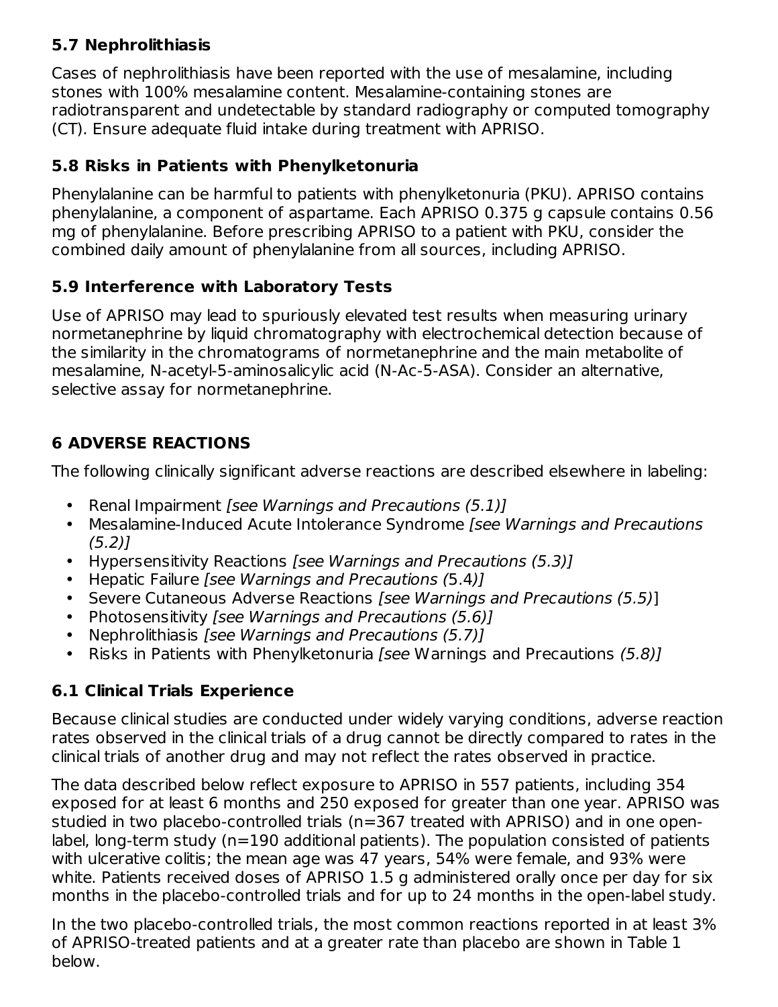# **5.7 Nephrolithiasis**

Cases of nephrolithiasis have been reported with the use of mesalamine, including stones with 100% mesalamine content. Mesalamine-containing stones are radiotransparent and undetectable by standard radiography or computed tomography (CT). Ensure adequate fluid intake during treatment with APRISO.

### **5.8 Risks in Patients with Phenylketonuria**

Phenylalanine can be harmful to patients with phenylketonuria (PKU). APRISO contains phenylalanine, a component of aspartame. Each APRISO 0.375 g capsule contains 0.56 mg of phenylalanine. Before prescribing APRISO to a patient with PKU, consider the combined daily amount of phenylalanine from all sources, including APRISO.

### **5.9 Interference with Laboratory Tests**

Use of APRISO may lead to spuriously elevated test results when measuring urinary normetanephrine by liquid chromatography with electrochemical detection because of the similarity in the chromatograms of normetanephrine and the main metabolite of mesalamine, N-acetyl-5-aminosalicylic acid (N-Ac-5-ASA). Consider an alternative, selective assay for normetanephrine.

# **6 ADVERSE REACTIONS**

The following clinically significant adverse reactions are described elsewhere in labeling:

- Renal Impairment [see Warnings and Precautions (5.1)]
- Mesalamine-Induced Acute Intolerance Syndrome [see Warnings and Precautions  $(5.2)$ ]
- Hypersensitivity Reactions [see Warnings and Precautions (5.3)]
- Hepatic Failure [see Warnings and Precautions (5.4)]
- Severe Cutaneous Adverse Reactions [see Warnings and Precautions (5.5)]
- Photosensitivity [see Warnings and Precautions (5.6)]
- Nephrolithiasis [see Warnings and Precautions (5.7)]
- Risks in Patients with Phenylketonuria [see Warnings and Precautions (5.8)]

### **6.1 Clinical Trials Experience**

Because clinical studies are conducted under widely varying conditions, adverse reaction rates observed in the clinical trials of a drug cannot be directly compared to rates in the clinical trials of another drug and may not reflect the rates observed in practice.

The data described below reflect exposure to APRISO in 557 patients, including 354 exposed for at least 6 months and 250 exposed for greater than one year. APRISO was studied in two placebo-controlled trials (n=367 treated with APRISO) and in one openlabel, long-term study (n=190 additional patients). The population consisted of patients with ulcerative colitis; the mean age was 47 years, 54% were female, and 93% were white. Patients received doses of APRISO 1.5 g administered orally once per day for six months in the placebo-controlled trials and for up to 24 months in the open‑label study.

In the two placebo-controlled trials, the most common reactions reported in at least 3% of APRISO-treated patients and at a greater rate than placebo are shown in Table 1 below.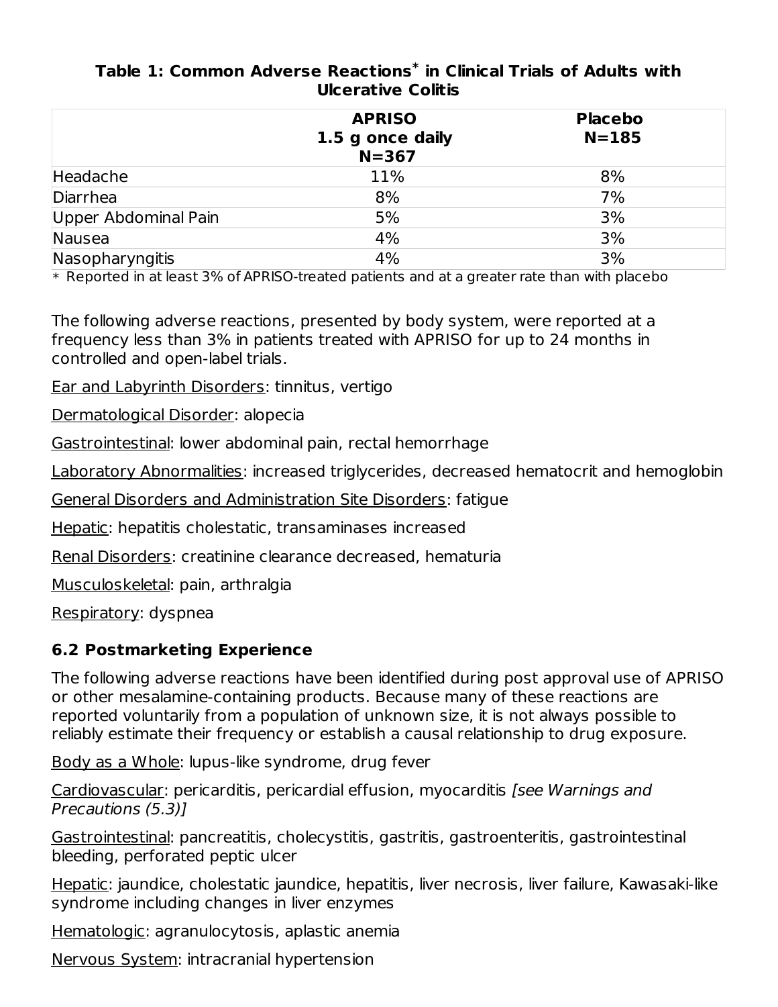#### **Table 1: Common Adverse Reactions in Clinical Trials of Adults with \* Ulcerative Colitis**

|                      | <b>APRISO</b>                 | <b>Placebo</b> |  |
|----------------------|-------------------------------|----------------|--|
|                      | 1.5 g once daily<br>$N = 367$ | $N = 185$      |  |
| Headache             | 11%                           | 8%             |  |
| Diarrhea             | 8%                            | 7%             |  |
| Upper Abdominal Pain | 5%                            | 3%             |  |
| Nausea               | 4%                            | 3%             |  |
| Nasopharyngitis      | 4%                            | 3%             |  |

 $\,^*$  Reported in at least 3% of APRISO-treated patients and at a greater rate than with placebo

The following adverse reactions, presented by body system, were reported at a frequency less than 3% in patients treated with APRISO for up to 24 months in controlled and open-label trials.

Ear and Labyrinth Disorders: tinnitus, vertigo

Dermatological Disorder: alopecia

Gastrointestinal: lower abdominal pain, rectal hemorrhage

Laboratory Abnormalities: increased triglycerides, decreased hematocrit and hemoglobin

General Disorders and Administration Site Disorders: fatigue

Hepatic: hepatitis cholestatic, transaminases increased

Renal Disorders: creatinine clearance decreased, hematuria

Musculoskeletal: pain, arthralgia

Respiratory: dyspnea

### **6.2 Postmarketing Experience**

The following adverse reactions have been identified during post approval use of APRISO or other mesalamine-containing products. Because many of these reactions are reported voluntarily from a population of unknown size, it is not always possible to reliably estimate their frequency or establish a causal relationship to drug exposure.

Body as a Whole: lupus-like syndrome, drug fever

Cardiovascular: pericarditis, pericardial effusion, myocarditis [see Warnings and Precautions (5.3)]

Gastrointestinal: pancreatitis, cholecystitis, gastritis, gastroenteritis, gastrointestinal bleeding, perforated peptic ulcer

Hepatic: jaundice, cholestatic jaundice, hepatitis, liver necrosis, liver failure, Kawasaki-like syndrome including changes in liver enzymes

Hematologic: agranulocytosis, aplastic anemia

Nervous System: intracranial hypertension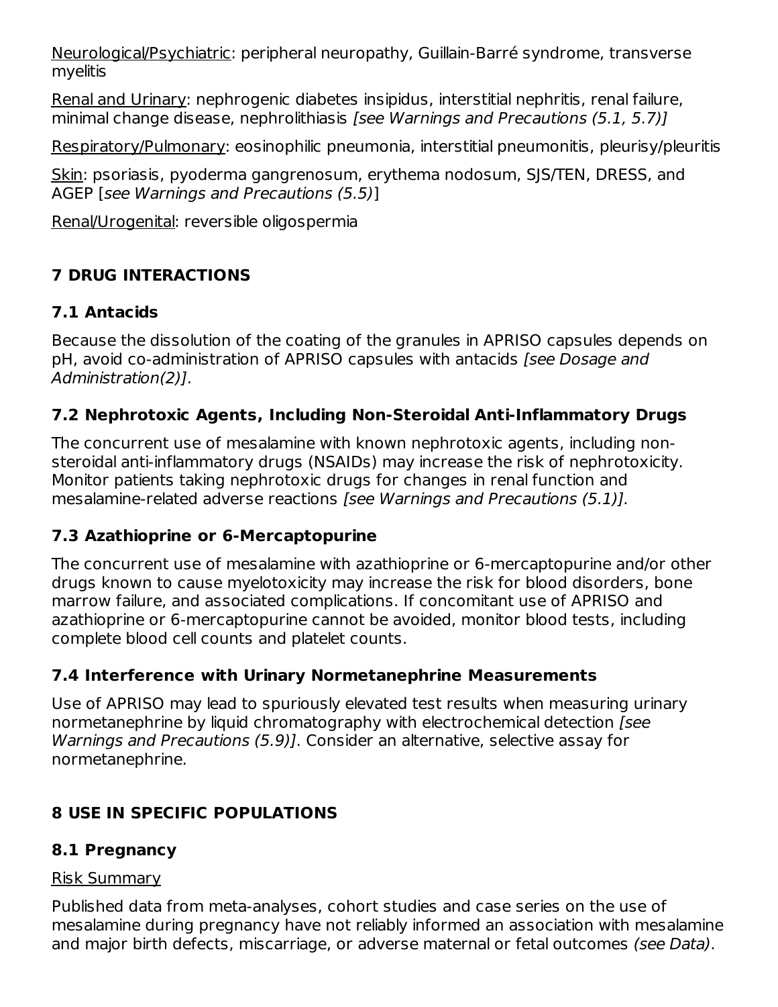Neurological/Psychiatric: peripheral neuropathy, Guillain-Barré syndrome, transverse myelitis

Renal and Urinary: nephrogenic diabetes insipidus, interstitial nephritis, renal failure, minimal change disease, nephrolithiasis [see Warnings and Precautions (5.1, 5.7)]

Respiratory/Pulmonary: eosinophilic pneumonia, interstitial pneumonitis, pleurisy/pleuritis

Skin: psoriasis, pyoderma gangrenosum, erythema nodosum, SJS/TEN, DRESS, and AGEP [see Warnings and Precautions (5.5)]

Renal/Urogenital: reversible oligospermia

# **7 DRUG INTERACTIONS**

### **7.1 Antacids**

Because the dissolution of the coating of the granules in APRISO capsules depends on pH, avoid co-administration of APRISO capsules with antacids [see Dosage and Administration(2)].

### **7.2 Nephrotoxic Agents, Including Non-Steroidal Anti-Inflammatory Drugs**

The concurrent use of mesalamine with known nephrotoxic agents, including nonsteroidal anti-inflammatory drugs (NSAIDs) may increase the risk of nephrotoxicity. Monitor patients taking nephrotoxic drugs for changes in renal function and mesalamine-related adverse reactions [see Warnings and Precautions (5.1)].

### **7.3 Azathioprine or 6-Mercaptopurine**

The concurrent use of mesalamine with azathioprine or 6-mercaptopurine and/or other drugs known to cause myelotoxicity may increase the risk for blood disorders, bone marrow failure, and associated complications. If concomitant use of APRISO and azathioprine or 6-mercaptopurine cannot be avoided, monitor blood tests, including complete blood cell counts and platelet counts.

### **7.4 Interference with Urinary Normetanephrine Measurements**

Use of APRISO may lead to spuriously elevated test results when measuring urinary normetanephrine by liquid chromatography with electrochemical detection (see Warnings and Precautions (5.9)]. Consider an alternative, selective assay for normetanephrine.

# **8 USE IN SPECIFIC POPULATIONS**

### **8.1 Pregnancy**

### Risk Summary

Published data from meta-analyses, cohort studies and case series on the use of mesalamine during pregnancy have not reliably informed an association with mesalamine and major birth defects, miscarriage, or adverse maternal or fetal outcomes (see Data).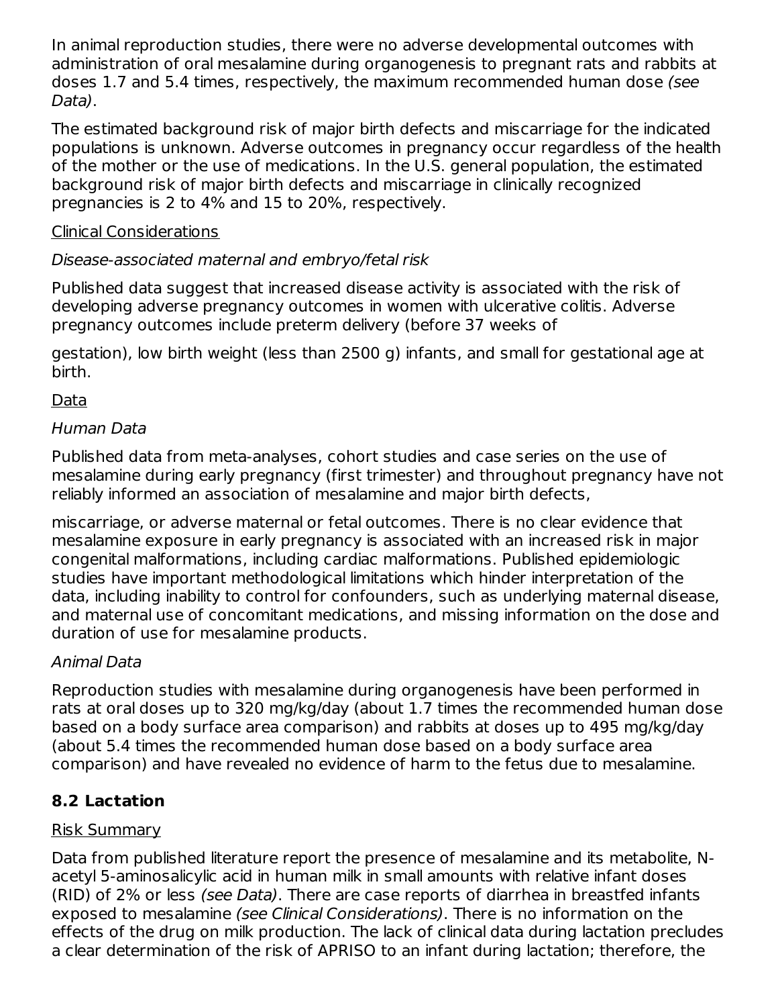In animal reproduction studies, there were no adverse developmental outcomes with administration of oral mesalamine during organogenesis to pregnant rats and rabbits at doses 1.7 and 5.4 times, respectively, the maximum recommended human dose (see Data).

The estimated background risk of major birth defects and miscarriage for the indicated populations is unknown. Adverse outcomes in pregnancy occur regardless of the health of the mother or the use of medications. In the U.S. general population, the estimated background risk of major birth defects and miscarriage in clinically recognized pregnancies is 2 to 4% and 15 to 20%, respectively.

### Clinical Considerations

### Disease-associated maternal and embryo/fetal risk

Published data suggest that increased disease activity is associated with the risk of developing adverse pregnancy outcomes in women with ulcerative colitis. Adverse pregnancy outcomes include preterm delivery (before 37 weeks of

gestation), low birth weight (less than 2500 g) infants, and small for gestational age at birth.

### Data

### Human Data

Published data from meta-analyses, cohort studies and case series on the use of mesalamine during early pregnancy (first trimester) and throughout pregnancy have not reliably informed an association of mesalamine and major birth defects,

miscarriage, or adverse maternal or fetal outcomes. There is no clear evidence that mesalamine exposure in early pregnancy is associated with an increased risk in major congenital malformations, including cardiac malformations. Published epidemiologic studies have important methodological limitations which hinder interpretation of the data, including inability to control for confounders, such as underlying maternal disease, and maternal use of concomitant medications, and missing information on the dose and duration of use for mesalamine products.

### Animal Data

Reproduction studies with mesalamine during organogenesis have been performed in rats at oral doses up to 320 mg/kg/day (about 1.7 times the recommended human dose based on a body surface area comparison) and rabbits at doses up to 495 mg/kg/day (about 5.4 times the recommended human dose based on a body surface area comparison) and have revealed no evidence of harm to the fetus due to mesalamine.

### **8.2 Lactation**

### Risk Summary

Data from published literature report the presence of mesalamine and its metabolite, Nacetyl 5-aminosalicylic acid in human milk in small amounts with relative infant doses (RID) of 2% or less (see Data). There are case reports of diarrhea in breastfed infants exposed to mesalamine (see Clinical Considerations). There is no information on the effects of the drug on milk production. The lack of clinical data during lactation precludes a clear determination of the risk of APRISO to an infant during lactation; therefore, the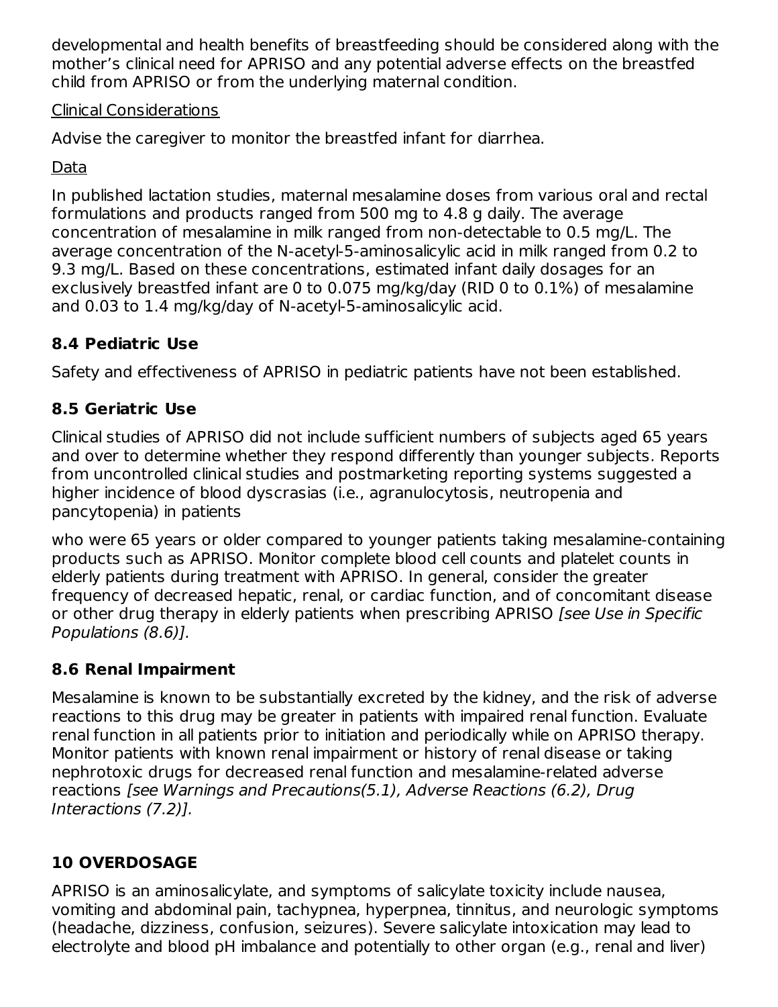developmental and health benefits of breastfeeding should be considered along with the mother's clinical need for APRISO and any potential adverse effects on the breastfed child from APRISO or from the underlying maternal condition.

### Clinical Considerations

Advise the caregiver to monitor the breastfed infant for diarrhea.

### Data

In published lactation studies, maternal mesalamine doses from various oral and rectal formulations and products ranged from 500 mg to 4.8 g daily. The average concentration of mesalamine in milk ranged from non-detectable to 0.5 mg/L. The average concentration of the N-acetyl-5-aminosalicylic acid in milk ranged from 0.2 to 9.3 mg/L. Based on these concentrations, estimated infant daily dosages for an exclusively breastfed infant are 0 to 0.075 mg/kg/day (RID 0 to 0.1%) of mesalamine and 0.03 to 1.4 mg/kg/day of N-acetyl-5-aminosalicylic acid.

# **8.4 Pediatric Use**

Safety and effectiveness of APRISO in pediatric patients have not been established.

# **8.5 Geriatric Use**

Clinical studies of APRISO did not include sufficient numbers of subjects aged 65 years and over to determine whether they respond differently than younger subjects. Reports from uncontrolled clinical studies and postmarketing reporting systems suggested a higher incidence of blood dyscrasias (i.e., agranulocytosis, neutropenia and pancytopenia) in patients

who were 65 years or older compared to younger patients taking mesalamine-containing products such as APRISO. Monitor complete blood cell counts and platelet counts in elderly patients during treatment with APRISO. In general, consider the greater frequency of decreased hepatic, renal, or cardiac function, and of concomitant disease or other drug therapy in elderly patients when prescribing APRISO [see Use in Specific Populations (8.6)].

# **8.6 Renal Impairment**

Mesalamine is known to be substantially excreted by the kidney, and the risk of adverse reactions to this drug may be greater in patients with impaired renal function. Evaluate renal function in all patients prior to initiation and periodically while on APRISO therapy. Monitor patients with known renal impairment or history of renal disease or taking nephrotoxic drugs for decreased renal function and mesalamine-related adverse reactions [see Warnings and Precautions(5.1), Adverse Reactions (6.2), Drug Interactions (7.2)].

# **10 OVERDOSAGE**

APRISO is an aminosalicylate, and symptoms of salicylate toxicity include nausea, vomiting and abdominal pain, tachypnea, hyperpnea, tinnitus, and neurologic symptoms (headache, dizziness, confusion, seizures). Severe salicylate intoxication may lead to electrolyte and blood pH imbalance and potentially to other organ (e.g., renal and liver)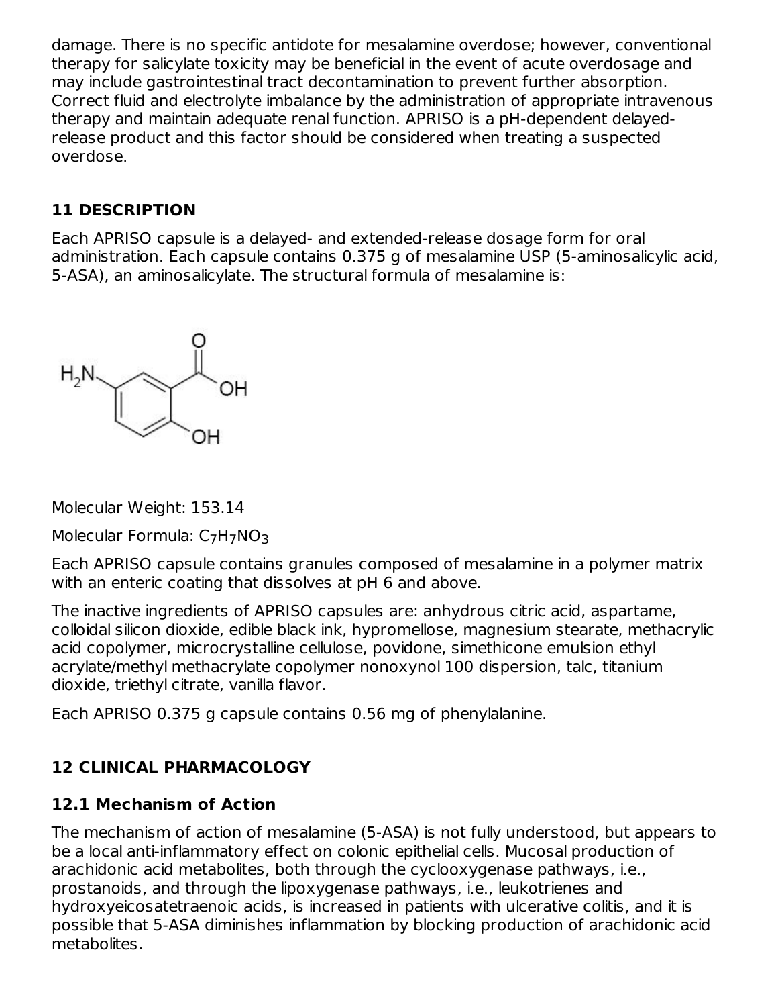damage. There is no specific antidote for mesalamine overdose; however, conventional therapy for salicylate toxicity may be beneficial in the event of acute overdosage and may include gastrointestinal tract decontamination to prevent further absorption. Correct fluid and electrolyte imbalance by the administration of appropriate intravenous therapy and maintain adequate renal function. APRISO is a pH-dependent delayedrelease product and this factor should be considered when treating a suspected overdose.

### **11 DESCRIPTION**

Each APRISO capsule is a delayed- and extended-release dosage form for oral administration. Each capsule contains 0.375 g of mesalamine USP (5-aminosalicylic acid, 5-ASA), an aminosalicylate. The structural formula of mesalamine is:



Molecular Weight: 153.14

Molecular Formula: C<sub>7</sub>H<sub>7</sub>NO<sub>3</sub>

Each APRISO capsule contains granules composed of mesalamine in a polymer matrix with an enteric coating that dissolves at pH 6 and above.

The inactive ingredients of APRISO capsules are: anhydrous citric acid, aspartame, colloidal silicon dioxide, edible black ink, hypromellose, magnesium stearate, methacrylic acid copolymer, microcrystalline cellulose, povidone, simethicone emulsion ethyl acrylate/methyl methacrylate copolymer nonoxynol 100 dispersion, talc, titanium dioxide, triethyl citrate, vanilla flavor.

Each APRISO 0.375 g capsule contains 0.56 mg of phenylalanine.

# **12 CLINICAL PHARMACOLOGY**

# **12.1 Mechanism of Action**

The mechanism of action of mesalamine (5-ASA) is not fully understood, but appears to be a local anti-inflammatory effect on colonic epithelial cells. Mucosal production of arachidonic acid metabolites, both through the cyclooxygenase pathways, i.e., prostanoids, and through the lipoxygenase pathways, i.e., leukotrienes and hydroxyeicosatetraenoic acids, is increased in patients with ulcerative colitis, and it is possible that 5-ASA diminishes inflammation by blocking production of arachidonic acid metabolites.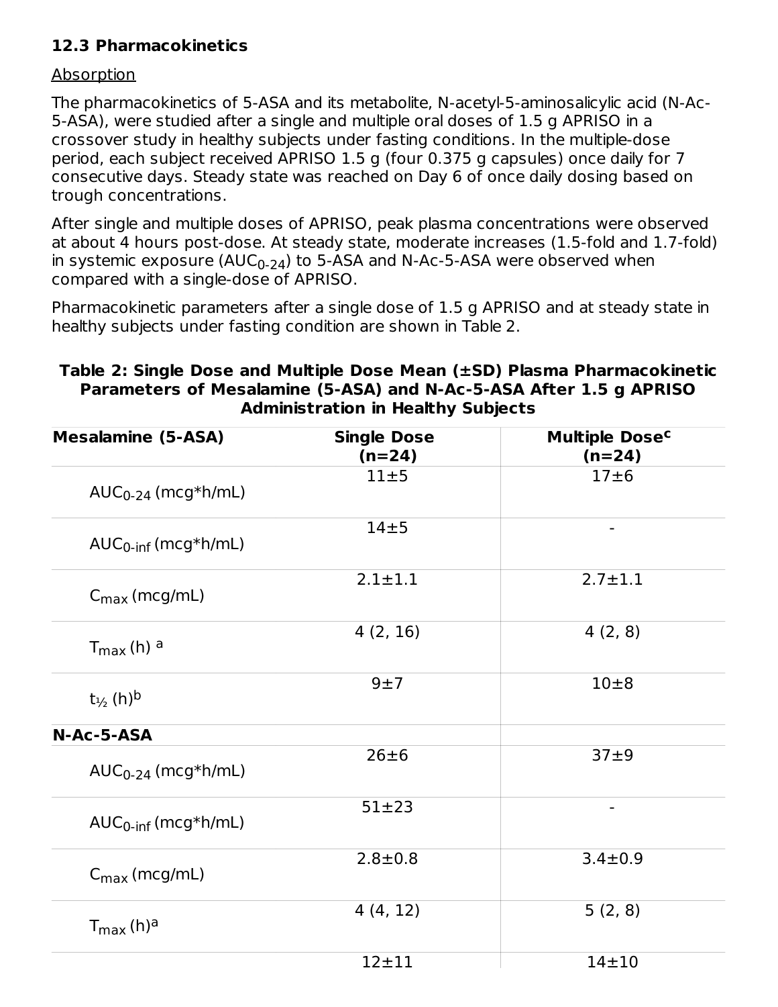### **12.3 Pharmacokinetics**

#### Absorption

The pharmacokinetics of 5-ASA and its metabolite, N-acetyl-5-aminosalicylic acid (N-Ac-5-ASA), were studied after a single and multiple oral doses of 1.5 g APRISO in a crossover study in healthy subjects under fasting conditions. In the multiple-dose period, each subject received APRISO 1.5 g (four 0.375 g capsules) once daily for 7 consecutive days. Steady state was reached on Day 6 of once daily dosing based on trough concentrations.

After single and multiple doses of APRISO, peak plasma concentrations were observed at about 4 hours post-dose. At steady state, moderate increases (1.5-fold and 1.7-fold) in systemic exposure (AUC $_{\rm 0\text{-}24}$ ) to 5-ASA and N-Ac-5-ASA were observed when compared with a single-dose of APRISO.

Pharmacokinetic parameters after a single dose of 1.5 g APRISO and at steady state in healthy subjects under fasting condition are shown in Table 2.

### **Table 2: Single Dose and Multiple Dose Mean (±SD) Plasma Pharmacokinetic Parameters of Mesalamine (5-ASA) and N-Ac-5-ASA After 1.5 g APRISO Administration in Healthy Subjects**

| <b>Mesalamine (5-ASA)</b>          | <b>Single Dose</b><br>$(n=24)$ | Multiple Dose <sup>c</sup><br>$(n=24)$ |
|------------------------------------|--------------------------------|----------------------------------------|
| $AUC_{0-24}$ (mcg*h/mL)            | 11±5                           | 17±6                                   |
| $AUC_{0\text{-inf}}$ (mcg*h/mL)    | $14\pm 5$                      |                                        |
| $C_{\text{max}}$ (mcg/mL)          | $2.1 \pm 1.1$                  | $2.7 \pm 1.1$                          |
| $T_{max}$ (h) a                    | 4(2, 16)                       | 4(2, 8)                                |
| $t_{\frac{1}{2}}$ (h) <sup>b</sup> | 9±7                            | $10\pm8$                               |
| N-Ac-5-ASA                         |                                |                                        |
| $AUC_{0-24}$ (mcg*h/mL)            | 26±6                           | 37±9                                   |
| $AUC_{0\text{-inf}}$ (mcg*h/mL)    | $51 + 23$                      |                                        |
| $C_{\text{max}}$ (mcg/mL)          | $2.8 + 0.8$                    | $3.4 \pm 0.9$                          |
| $T_{\text{max}}$ (h) <sup>a</sup>  | 4(4, 12)                       | 5(2, 8)                                |
|                                    | $12 + 11$                      | $14 + 10$                              |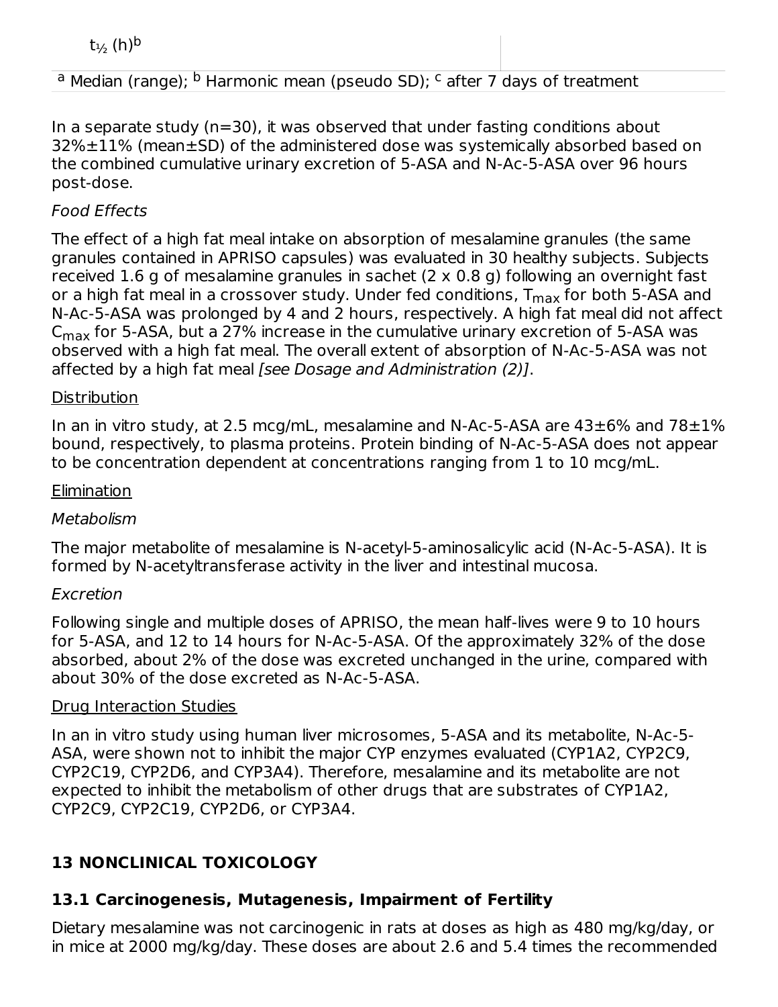$t_{\frac{1}{2}}$  (h)<sup>b</sup>

### <sup>a</sup> Median (range); <sup>b</sup> Harmonic mean (pseudo SD); <sup>c</sup> after 7 days of treatment

In a separate study ( $n=30$ ), it was observed that under fasting conditions about 32%±11% (mean±SD) of the administered dose was systemically absorbed based on the combined cumulative urinary excretion of 5-ASA and N-Ac-5-ASA over 96 hours post-dose.

12±11 14±11 14±11 14±11 14±11 14±11 14±11 14±11 14±11 14±11 14±11 14±11 14±11 14±11 14±11 14±11 14±1

### Food Effects

The effect of a high fat meal intake on absorption of mesalamine granules (the same granules contained in APRISO capsules) was evaluated in 30 healthy subjects. Subjects received 1.6 g of mesalamine granules in sachet (2 x 0.8 g) following an overnight fast or a high fat meal in a crossover study. Under fed conditions, T<sub>max</sub> for both 5-ASA and N‑Ac‑5-ASA was prolonged by 4 and 2 hours, respectively. A high fat meal did not affect  $\mathsf{C}_{\mathsf{max}}$  for 5-ASA, but a 27% increase in the cumulative urinary excretion of 5-ASA was observed with a high fat meal. The overall extent of absorption of N‑Ac-5-ASA was not affected by a high fat meal [see Dosage and Administration (2)].

#### **Distribution**

In an in vitro study, at 2.5 mcg/mL, mesalamine and N-Ac-5-ASA are  $43\pm6\%$  and  $78\pm1\%$ bound, respectively, to plasma proteins. Protein binding of N-Ac-5-ASA does not appear to be concentration dependent at concentrations ranging from 1 to 10 mcg/mL.

#### **Elimination**

#### **Metabolism**

The major metabolite of mesalamine is N-acetyl-5-aminosalicylic acid (N-Ac-5-ASA). It is formed by N-acetyltransferase activity in the liver and intestinal mucosa.

#### Excretion

Following single and multiple doses of APRISO, the mean half-lives were 9 to 10 hours for 5-ASA, and 12 to 14 hours for N-Ac-5-ASA. Of the approximately 32% of the dose absorbed, about 2% of the dose was excreted unchanged in the urine, compared with about 30% of the dose excreted as N-Ac-5-ASA.

#### Drug Interaction Studies

In an in vitro study using human liver microsomes, 5-ASA and its metabolite, N-Ac-5- ASA, were shown not to inhibit the major CYP enzymes evaluated (CYP1A2, CYP2C9, CYP2C19, CYP2D6, and CYP3A4). Therefore, mesalamine and its metabolite are not expected to inhibit the metabolism of other drugs that are substrates of CYP1A2, CYP2C9, CYP2C19, CYP2D6, or CYP3A4.

# **13 NONCLINICAL TOXICOLOGY**

# **13.1 Carcinogenesis, Mutagenesis, Impairment of Fertility**

Dietary mesalamine was not carcinogenic in rats at doses as high as 480 mg/kg/day, or in mice at 2000 mg/kg/day. These doses are about 2.6 and 5.4 times the recommended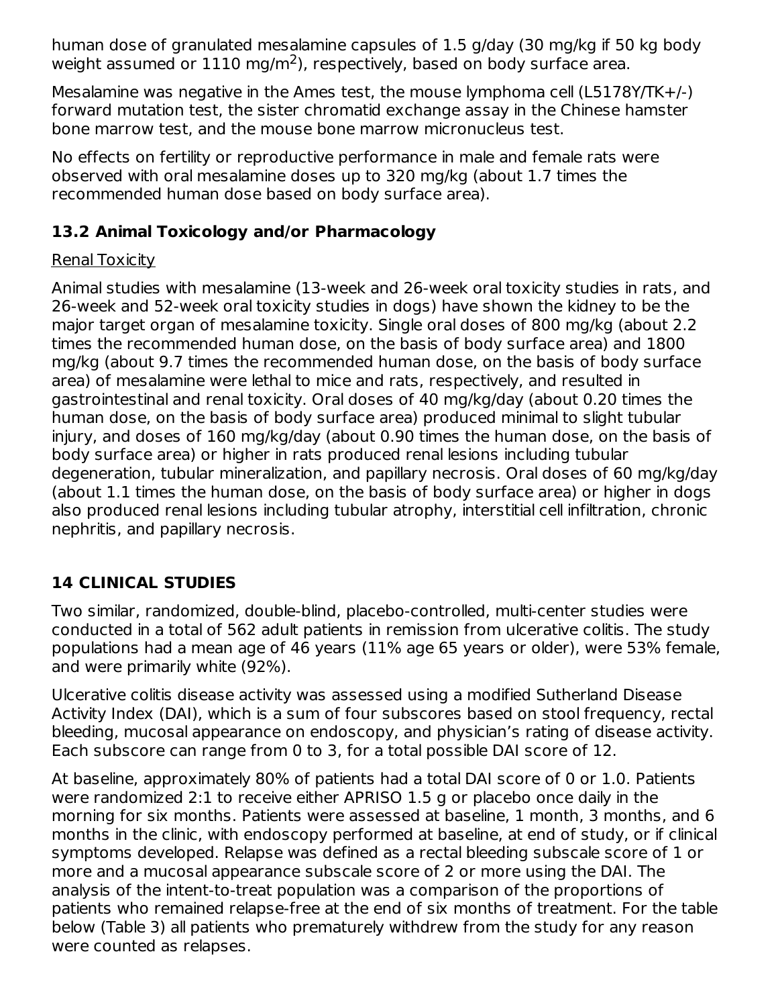human dose of granulated mesalamine capsules of 1.5 g/day (30 mg/kg if 50 kg body weight assumed or  $1110 \text{ mg/m}^2$ ), respectively, based on body surface area.

Mesalamine was negative in the Ames test, the mouse lymphoma cell (L5178Y/TK+/-) forward mutation test, the sister chromatid exchange assay in the Chinese hamster bone marrow test, and the mouse bone marrow micronucleus test.

No effects on fertility or reproductive performance in male and female rats were observed with oral mesalamine doses up to 320 mg/kg (about 1.7 times the recommended human dose based on body surface area).

### **13.2 Animal Toxicology and/or Pharmacology**

### Renal Toxicity

Animal studies with mesalamine (13-week and 26-week oral toxicity studies in rats, and 26-week and 52-week oral toxicity studies in dogs) have shown the kidney to be the major target organ of mesalamine toxicity. Single oral doses of 800 mg/kg (about 2.2 times the recommended human dose, on the basis of body surface area) and 1800 mg/kg (about 9.7 times the recommended human dose, on the basis of body surface area) of mesalamine were lethal to mice and rats, respectively, and resulted in gastrointestinal and renal toxicity. Oral doses of 40 mg/kg/day (about 0.20 times the human dose, on the basis of body surface area) produced minimal to slight tubular injury, and doses of 160 mg/kg/day (about 0.90 times the human dose, on the basis of body surface area) or higher in rats produced renal lesions including tubular degeneration, tubular mineralization, and papillary necrosis. Oral doses of 60 mg/kg/day (about 1.1 times the human dose, on the basis of body surface area) or higher in dogs also produced renal lesions including tubular atrophy, interstitial cell infiltration, chronic nephritis, and papillary necrosis.

# **14 CLINICAL STUDIES**

Two similar, randomized, double-blind, placebo-controlled, multi-center studies were conducted in a total of 562 adult patients in remission from ulcerative colitis. The study populations had a mean age of 46 years (11% age 65 years or older), were 53% female, and were primarily white (92%).

Ulcerative colitis disease activity was assessed using a modified Sutherland Disease Activity Index (DAI), which is a sum of four subscores based on stool frequency, rectal bleeding, mucosal appearance on endoscopy, and physician's rating of disease activity. Each subscore can range from 0 to 3, for a total possible DAI score of 12.

At baseline, approximately 80% of patients had a total DAI score of 0 or 1.0. Patients were randomized 2:1 to receive either APRISO 1.5 g or placebo once daily in the morning for six months. Patients were assessed at baseline, 1 month, 3 months, and 6 months in the clinic, with endoscopy performed at baseline, at end of study, or if clinical symptoms developed. Relapse was defined as a rectal bleeding subscale score of 1 or more and a mucosal appearance subscale score of 2 or more using the DAI. The analysis of the intent-to-treat population was a comparison of the proportions of patients who remained relapse-free at the end of six months of treatment. For the table below (Table 3) all patients who prematurely withdrew from the study for any reason were counted as relapses.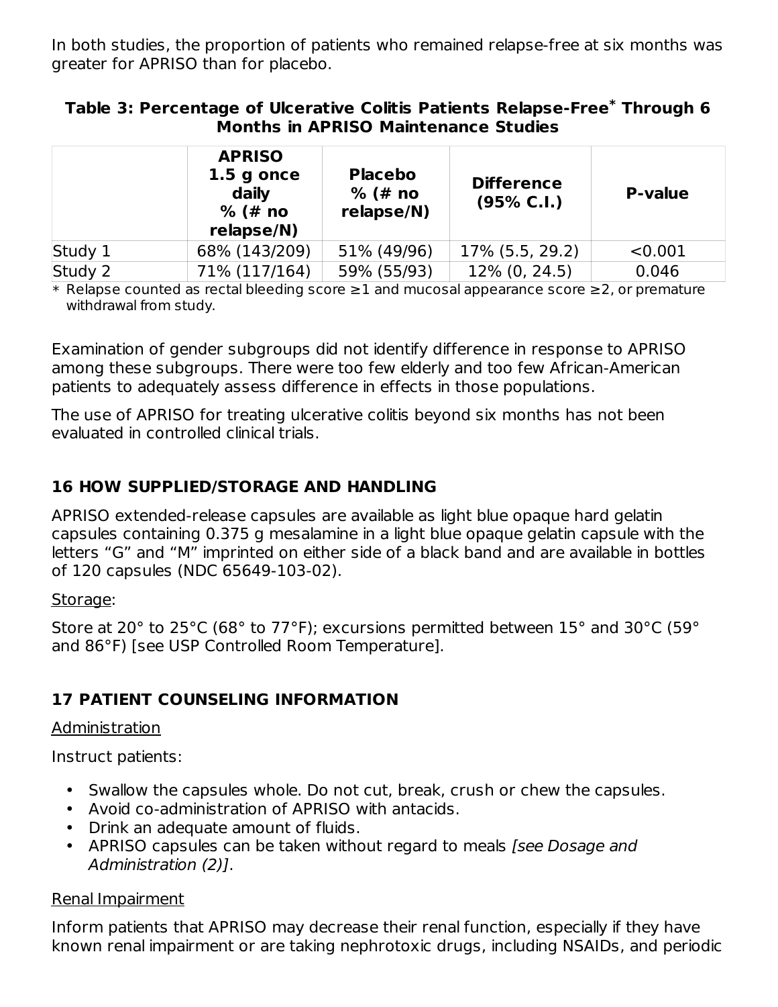In both studies, the proportion of patients who remained relapse-free at six months was greater for APRISO than for placebo.

#### **Table 3: Percentage of Ulcerative Colitis Patients Relapse-Free Through 6 \* Months in APRISO Maintenance Studies**

|         | <b>APRISO</b><br>$1.5$ g once<br>daily<br>$%$ (# no<br>relapse/N) | <b>Placebo</b><br>$%$ (# no<br>relapse/N) | <b>Difference</b><br>(95% C.I.) | <b>P-value</b> |
|---------|-------------------------------------------------------------------|-------------------------------------------|---------------------------------|----------------|
| Study 1 | 68% (143/209)                                                     | 51% (49/96)                               | 17% (5.5, 29.2)                 | < 0.001        |
| Study 2 | 71% (117/164)                                                     | 59% (55/93)                               | 12% (0, 24.5)                   | 0.046          |

\* Relapse counted as rectal bleeding score ≥1 and mucosal appearance score ≥2, or premature withdrawal from study.

Examination of gender subgroups did not identify difference in response to APRISO among these subgroups. There were too few elderly and too few African-American patients to adequately assess difference in effects in those populations.

The use of APRISO for treating ulcerative colitis beyond six months has not been evaluated in controlled clinical trials.

### **16 HOW SUPPLIED/STORAGE AND HANDLING**

APRISO extended-release capsules are available as light blue opaque hard gelatin capsules containing 0.375 g mesalamine in a light blue opaque gelatin capsule with the letters "G" and "M" imprinted on either side of a black band and are available in bottles of 120 capsules (NDC 65649-103-02).

#### Storage:

Store at 20° to 25°C (68° to 77°F); excursions permitted between 15° and 30°C (59° and 86°F) [see USP Controlled Room Temperature].

# **17 PATIENT COUNSELING INFORMATION**

### Administration

Instruct patients:

- Swallow the capsules whole. Do not cut, break, crush or chew the capsules.
- Avoid co-administration of APRISO with antacids.
- Drink an adequate amount of fluids.
- APRISO capsules can be taken without regard to meals [see Dosage and Administration (2)].

### Renal Impairment

Inform patients that APRISO may decrease their renal function, especially if they have known renal impairment or are taking nephrotoxic drugs, including NSAIDs, and periodic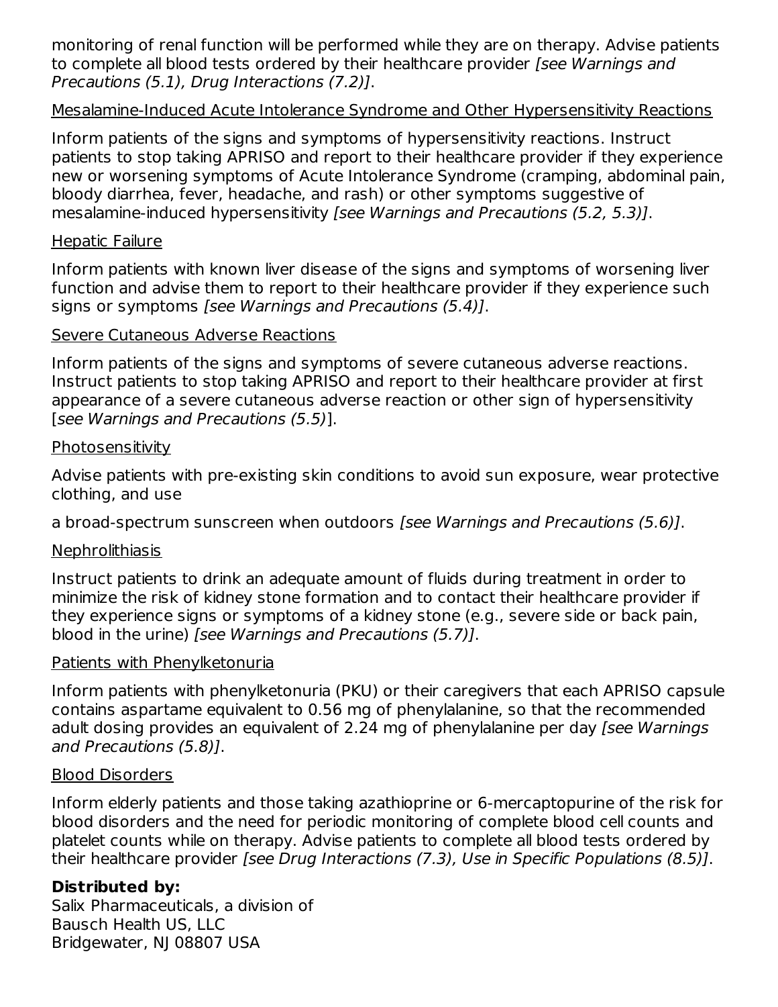monitoring of renal function will be performed while they are on therapy. Advise patients to complete all blood tests ordered by their healthcare provider [see Warnings and Precautions (5.1), Drug Interactions (7.2)].

### Mesalamine-Induced Acute Intolerance Syndrome and Other Hypersensitivity Reactions

Inform patients of the signs and symptoms of hypersensitivity reactions. Instruct patients to stop taking APRISO and report to their healthcare provider if they experience new or worsening symptoms of Acute Intolerance Syndrome (cramping, abdominal pain, bloody diarrhea, fever, headache, and rash) or other symptoms suggestive of mesalamine-induced hypersensitivity [see Warnings and Precautions (5.2, 5.3)].

#### Hepatic Failure

Inform patients with known liver disease of the signs and symptoms of worsening liver function and advise them to report to their healthcare provider if they experience such signs or symptoms [see Warnings and Precautions (5.4)].

#### Severe Cutaneous Adverse Reactions

Inform patients of the signs and symptoms of severe cutaneous adverse reactions. Instruct patients to stop taking APRISO and report to their healthcare provider at first appearance of a severe cutaneous adverse reaction or other sign of hypersensitivity [see Warnings and Precautions (5.5)].

#### **Photosensitivity**

Advise patients with pre-existing skin conditions to avoid sun exposure, wear protective clothing, and use

a broad-spectrum sunscreen when outdoors [see Warnings and Precautions (5.6)].

### **Nephrolithiasis**

Instruct patients to drink an adequate amount of fluids during treatment in order to minimize the risk of kidney stone formation and to contact their healthcare provider if they experience signs or symptoms of a kidney stone (e.g., severe side or back pain, blood in the urine) [see Warnings and Precautions (5.7)].

### Patients with Phenylketonuria

Inform patients with phenylketonuria (PKU) or their caregivers that each APRISO capsule contains aspartame equivalent to 0.56 mg of phenylalanine, so that the recommended adult dosing provides an equivalent of 2.24 mg of phenylalanine per day [see Warnings] and Precautions (5.8)].

#### Blood Disorders

Inform elderly patients and those taking azathioprine or 6-mercaptopurine of the risk for blood disorders and the need for periodic monitoring of complete blood cell counts and platelet counts while on therapy. Advise patients to complete all blood tests ordered by their healthcare provider [see Drug Interactions (7.3), Use in Specific Populations (8.5)].

### **Distributed by:**

Salix Pharmaceuticals, a division of Bausch Health US, LLC Bridgewater, NJ 08807 USA